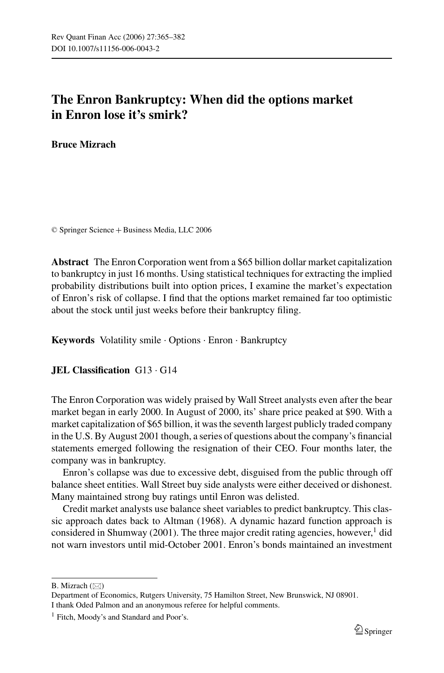# **The Enron Bankruptcy: When did the options market in Enron lose it's smirk?**

**Bruce Mizrach**

© Springer Science + Business Media, LLC 2006

**Abstract** The Enron Corporation went from a \$65 billion dollar market capitalization to bankruptcy in just 16 months. Using statistical techniques for extracting the implied probability distributions built into option prices, I examine the market's expectation of Enron's risk of collapse. I find that the options market remained far too optimistic about the stock until just weeks before their bankruptcy filing.

**Keywords** Volatility smile . Options . Enron . Bankruptcy

## **JEL Classification** G13 . G14

The Enron Corporation was widely praised by Wall Street analysts even after the bear market began in early 2000. In August of 2000, its' share price peaked at \$90. With a market capitalization of \$65 billion, it was the seventh largest publicly traded company in the U.S. By August 2001 though, a series of questions about the company's financial statements emerged following the resignation of their CEO. Four months later, the company was in bankruptcy.

Enron's collapse was due to excessive debt, disguised from the public through off balance sheet entities. Wall Street buy side analysts were either deceived or dishonest. Many maintained strong buy ratings until Enron was delisted.

Credit market analysts use balance sheet variables to predict bankruptcy. This classic approach dates back to Altman (1968). A dynamic hazard function approach is considered in Shumway (2001). The three major credit rating agencies, however,<sup>1</sup> did not warn investors until mid-October 2001. Enron's bonds maintained an investment

B. Mizrach  $(\boxtimes)$ 

Department of Economics, Rutgers University, 75 Hamilton Street, New Brunswick, NJ 08901. I thank Oded Palmon and an anonymous referee for helpful comments.

<sup>&</sup>lt;sup>1</sup> Fitch, Moody's and Standard and Poor's.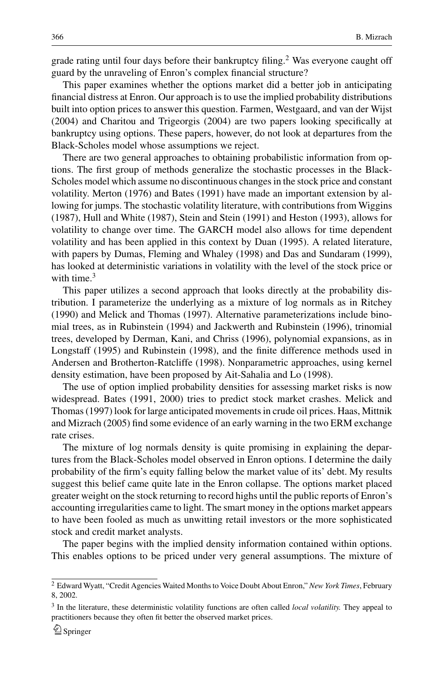grade rating until four days before their bankruptcy filing.<sup>2</sup> Was everyone caught off guard by the unraveling of Enron's complex financial structure?

This paper examines whether the options market did a better job in anticipating financial distress at Enron. Our approach is to use the implied probability distributions built into option prices to answer this question. Farmen, Westgaard, and van der Wijst (2004) and Charitou and Trigeorgis (2004) are two papers looking specifically at bankruptcy using options. These papers, however, do not look at departures from the Black-Scholes model whose assumptions we reject.

There are two general approaches to obtaining probabilistic information from options. The first group of methods generalize the stochastic processes in the Black-Scholes model which assume no discontinuous changes in the stock price and constant volatility. Merton (1976) and Bates (1991) have made an important extension by allowing for jumps. The stochastic volatility literature, with contributions from Wiggins (1987), Hull and White (1987), Stein and Stein (1991) and Heston (1993), allows for volatility to change over time. The GARCH model also allows for time dependent volatility and has been applied in this context by Duan (1995). A related literature, with papers by Dumas, Fleming and Whaley (1998) and Das and Sundaram (1999), has looked at deterministic variations in volatility with the level of the stock price or with time. $3$ 

This paper utilizes a second approach that looks directly at the probability distribution. I parameterize the underlying as a mixture of log normals as in Ritchey (1990) and Melick and Thomas (1997). Alternative parameterizations include binomial trees, as in Rubinstein (1994) and Jackwerth and Rubinstein (1996), trinomial trees, developed by Derman, Kani, and Chriss (1996), polynomial expansions, as in Longstaff (1995) and Rubinstein (1998), and the finite difference methods used in Andersen and Brotherton-Ratcliffe (1998). Nonparametric approaches, using kernel density estimation, have been proposed by Ait-Sahalia and Lo (1998).

The use of option implied probability densities for assessing market risks is now widespread. Bates (1991, 2000) tries to predict stock market crashes. Melick and Thomas (1997) look for large anticipated movements in crude oil prices. Haas, Mittnik and Mizrach (2005) find some evidence of an early warning in the two ERM exchange rate crises.

The mixture of log normals density is quite promising in explaining the departures from the Black-Scholes model observed in Enron options. I determine the daily probability of the firm's equity falling below the market value of its' debt. My results suggest this belief came quite late in the Enron collapse. The options market placed greater weight on the stock returning to record highs until the public reports of Enron's accounting irregularities came to light. The smart money in the options market appears to have been fooled as much as unwitting retail investors or the more sophisticated stock and credit market analysts.

The paper begins with the implied density information contained within options. This enables options to be priced under very general assumptions. The mixture of

<sup>2</sup> Edward Wyatt, "Credit Agencies Waited Months to Voice Doubt About Enron," *New York Times*, February 8, 2002.

<sup>3</sup> In the literature, these deterministic volatility functions are often called *local volatility.* They appeal to practitioners because they often fit better the observed market prices.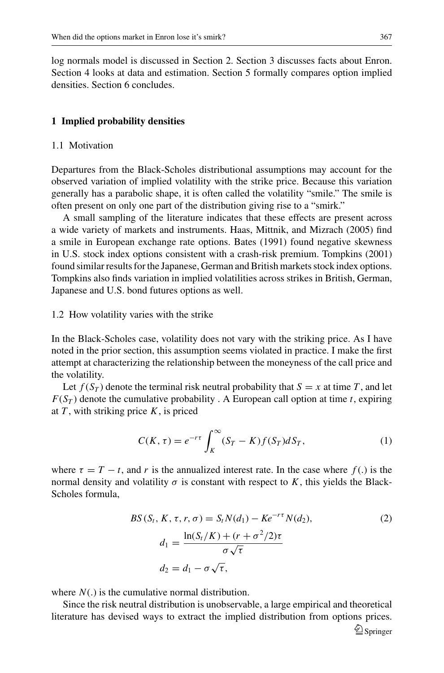log normals model is discussed in Section 2. Section 3 discusses facts about Enron. Section 4 looks at data and estimation. Section 5 formally compares option implied densities. Section 6 concludes.

## **1 Implied probability densities**

## 1.1 Motivation

Departures from the Black-Scholes distributional assumptions may account for the observed variation of implied volatility with the strike price. Because this variation generally has a parabolic shape, it is often called the volatility "smile." The smile is often present on only one part of the distribution giving rise to a "smirk."

A small sampling of the literature indicates that these effects are present across a wide variety of markets and instruments. Haas, Mittnik, and Mizrach (2005) find a smile in European exchange rate options. Bates (1991) found negative skewness in U.S. stock index options consistent with a crash-risk premium. Tompkins (2001) found similar results for the Japanese, German and British markets stock index options. Tompkins also finds variation in implied volatilities across strikes in British, German, Japanese and U.S. bond futures options as well.

#### 1.2 How volatility varies with the strike

In the Black-Scholes case, volatility does not vary with the striking price. As I have noted in the prior section, this assumption seems violated in practice. I make the first attempt at characterizing the relationship between the moneyness of the call price and the volatility.

Let  $f(S_T)$  denote the terminal risk neutral probability that  $S = x$  at time *T*, and let  $F(S_T)$  denote the cumulative probability . A European call option at time *t*, expiring at *T* , with striking price *K*, is priced

$$
C(K,\tau) = e^{-r\tau} \int_K^{\infty} (S_T - K) f(S_T) dS_T,
$$
\n(1)

where  $\tau = T - t$ , and r is the annualized interest rate. In the case where  $f(.)$  is the normal density and volatility  $\sigma$  is constant with respect to K, this yields the Black-Scholes formula,

$$
BS(S_t, K, \tau, r, \sigma) = S_t N(d_1) - Ke^{-r\tau} N(d_2),
$$
  
\n
$$
d_1 = \frac{\ln(S_t/K) + (r + \sigma^2/2)\tau}{\sigma\sqrt{\tau}}
$$
  
\n
$$
d_2 = d_1 - \sigma\sqrt{\tau},
$$
\n(2)

where *N*(.) is the cumulative normal distribution.

Since the risk neutral distribution is unobservable, a large empirical and theoretical literature has devised ways to extract the implied distribution from options prices.  $\mathcal{D}$  Springer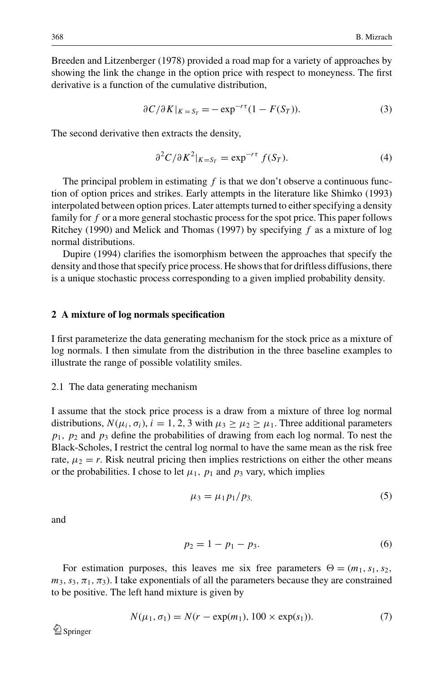Breeden and Litzenberger (1978) provided a road map for a variety of approaches by showing the link the change in the option price with respect to moneyness. The first derivative is a function of the cumulative distribution,

$$
\frac{\partial C}{\partial K}|_{K=S_T} = -\exp^{-r\tau}(1 - F(S_T)).\tag{3}
$$

The second derivative then extracts the density,

$$
\partial^2 C / \partial K^2|_{K = S_T} = \exp^{-r\tau} f(S_T). \tag{4}
$$

The principal problem in estimating  $f$  is that we don't observe a continuous function of option prices and strikes. Early attempts in the literature like Shimko (1993) interpolated between option prices. Later attempts turned to either specifying a density family for *f* or a more general stochastic process for the spot price. This paper follows Ritchey (1990) and Melick and Thomas (1997) by specifying *f* as a mixture of log normal distributions.

Dupire (1994) clarifies the isomorphism between the approaches that specify the density and those that specify price process. He shows that for driftless diffusions, there is a unique stochastic process corresponding to a given implied probability density.

## **2 A mixture of log normals specification**

I first parameterize the data generating mechanism for the stock price as a mixture of log normals. I then simulate from the distribution in the three baseline examples to illustrate the range of possible volatility smiles.

#### 2.1 The data generating mechanism

I assume that the stock price process is a draw from a mixture of three log normal distributions,  $N(\mu_i, \sigma_i)$ ,  $i = 1, 2, 3$  with  $\mu_3 \geq \mu_2 \geq \mu_1$ . Three additional parameters  $p_1$ ,  $p_2$  and  $p_3$  define the probabilities of drawing from each log normal. To nest the Black-Scholes, I restrict the central log normal to have the same mean as the risk free rate,  $\mu_2 = r$ . Risk neutral pricing then implies restrictions on either the other means or the probabilities. I chose to let  $\mu_1$ ,  $p_1$  and  $p_3$  vary, which implies

$$
\mu_3 = \mu_1 p_1 / p_3,\tag{5}
$$

and

$$
p_2 = 1 - p_1 - p_3. \tag{6}
$$

For estimation purposes, this leaves me six free parameters  $\Theta = (m_1, s_1, s_2,$  $m_3$ ,  $s_3$ ,  $\pi_1$ ,  $\pi_3$ ). I take exponentials of all the parameters because they are constrained to be positive. The left hand mixture is given by

$$
N(\mu_1, \sigma_1) = N(r - \exp(m_1), 100 \times \exp(s_1)).
$$
 (7)

 $\mathcal{Q}_{\text{Springer}}$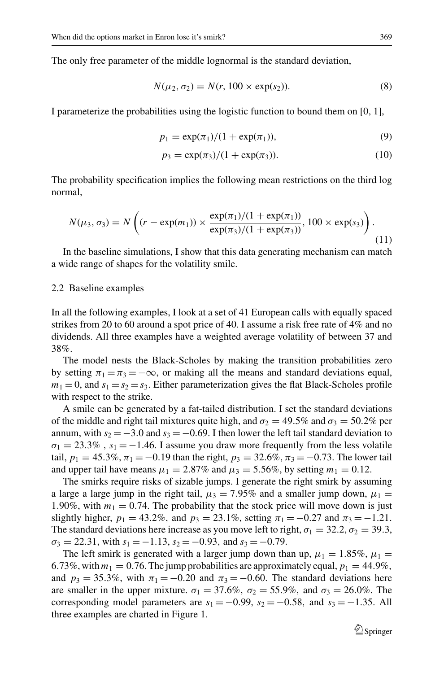The only free parameter of the middle lognormal is the standard deviation,

$$
N(\mu_2, \sigma_2) = N(r, 100 \times \exp(s_2)).
$$
 (8)

I parameterize the probabilities using the logistic function to bound them on [0, 1],

$$
p_1 = \exp(\pi_1)/(1 + \exp(\pi_1)),
$$
\n(9)

$$
p_3 = \exp(\pi_3)/(1 + \exp(\pi_3)).
$$
 (10)

The probability specification implies the following mean restrictions on the third log normal,

$$
N(\mu_3, \sigma_3) = N\left((r - \exp(m_1)) \times \frac{\exp(\pi_1)/(1 + \exp(\pi_1))}{\exp(\pi_3)/(1 + \exp(\pi_3))}, 100 \times \exp(s_3)\right).
$$
\n(11)

In the baseline simulations, I show that this data generating mechanism can match a wide range of shapes for the volatility smile.

#### 2.2 Baseline examples

In all the following examples, I look at a set of 41 European calls with equally spaced strikes from 20 to 60 around a spot price of 40. I assume a risk free rate of 4% and no dividends. All three examples have a weighted average volatility of between 37 and 38%.

The model nests the Black-Scholes by making the transition probabilities zero by setting  $\pi_1 = \pi_3 = -\infty$ , or making all the means and standard deviations equal,  $m_1 = 0$ , and  $s_1 = s_2 = s_3$ . Either parameterization gives the flat Black-Scholes profile with respect to the strike.

A smile can be generated by a fat-tailed distribution. I set the standard deviations of the middle and right tail mixtures quite high, and  $\sigma_2 = 49.5\%$  and  $\sigma_3 = 50.2\%$  per annum, with  $s_2 = -3.0$  and  $s_3 = -0.69$ . I then lower the left tail standard deviation to  $\sigma_1 = 23.3\%$ ,  $s_1 = -1.46$ . I assume you draw more frequently from the less volatile tail,  $p_1 = 45.3\%, \pi_1 = -0.19$  than the right,  $p_3 = 32.6\%, \pi_3 = -0.73$ . The lower tail and upper tail have means  $\mu_1 = 2.87\%$  and  $\mu_3 = 5.56\%$ , by setting  $m_1 = 0.12$ .

The smirks require risks of sizable jumps. I generate the right smirk by assuming a large a large jump in the right tail,  $\mu_3 = 7.95\%$  and a smaller jump down,  $\mu_1 =$ 1.90%, with  $m_1 = 0.74$ . The probability that the stock price will move down is just slightly higher,  $p_1 = 43.2\%$ , and  $p_3 = 23.1\%$ , setting  $\pi_1 = -0.27$  and  $\pi_3 = -1.21$ . The standard deviations here increase as you move left to right,  $\sigma_1 = 32.2$ ,  $\sigma_2 = 39.3$ ,  $\sigma_3 = 22.31$ , with  $s_1 = -1.13$ ,  $s_2 = -0.93$ , and  $s_3 = -0.79$ .

The left smirk is generated with a larger jump down than up,  $\mu_1 = 1.85\%$ ,  $\mu_1 =$ 6.73%, with  $m_1 = 0.76$ . The jump probabilities are approximately equal,  $p_1 = 44.9\%$ , and  $p_3 = 35.3\%$ , with  $\pi_1 = -0.20$  and  $\pi_3 = -0.60$ . The standard deviations here are smaller in the upper mixture.  $\sigma_1 = 37.6\%$ ,  $\sigma_2 = 55.9\%$ , and  $\sigma_3 = 26.0\%$ . The corresponding model parameters are  $s_1 = -0.99$ ,  $s_2 = -0.58$ , and  $s_3 = -1.35$ . All three examples are charted in Figure 1.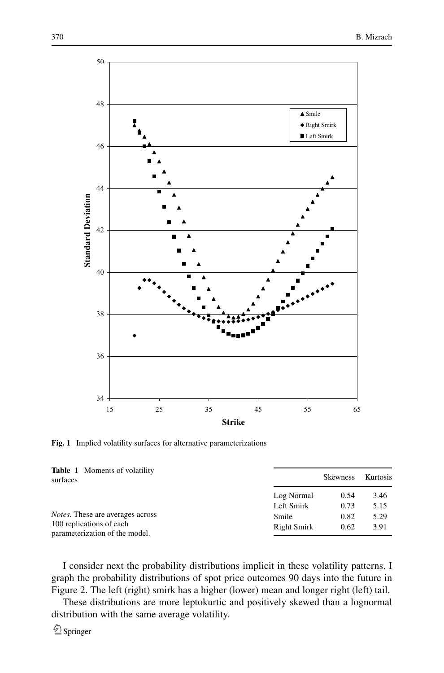

**Fig. 1** Implied volatility surfaces for alternative parameterizations

| <b>Table 1</b> Moments of volatility<br>surfaces                                                      | Kurtosis<br><b>Skewness</b> |              |              |  |  |
|-------------------------------------------------------------------------------------------------------|-----------------------------|--------------|--------------|--|--|
|                                                                                                       | Log Normal                  | 0.54         | 3.46         |  |  |
|                                                                                                       | Left Smirk                  | 0.73         | 5.15         |  |  |
| <i>Notes.</i> These are averages across<br>100 replications of each<br>parameterization of the model. | Smile<br>Right Smirk        | 0.82<br>0.62 | 5.29<br>3.91 |  |  |

I consider next the probability distributions implicit in these volatility patterns. I graph the probability distributions of spot price outcomes 90 days into the future in Figure 2. The left (right) smirk has a higher (lower) mean and longer right (left) tail.

These distributions are more leptokurtic and positively skewed than a lognormal distribution with the same average volatility.

 $\mathcal{Q}_{\text{Springer}}$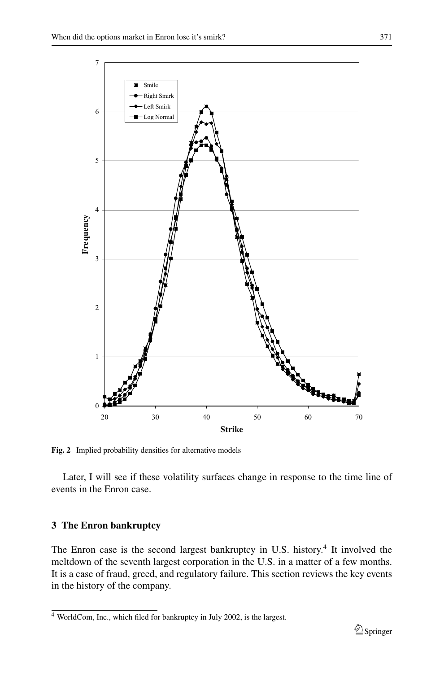

**Fig. 2** Implied probability densities for alternative models

Later, I will see if these volatility surfaces change in response to the time line of events in the Enron case.

## **3 The Enron bankruptcy**

The Enron case is the second largest bankruptcy in U.S. history.<sup>4</sup> It involved the meltdown of the seventh largest corporation in the U.S. in a matter of a few months. It is a case of fraud, greed, and regulatory failure. This section reviews the key events in the history of the company.

<sup>4</sup> WorldCom, Inc., which filed for bankruptcy in July 2002, is the largest.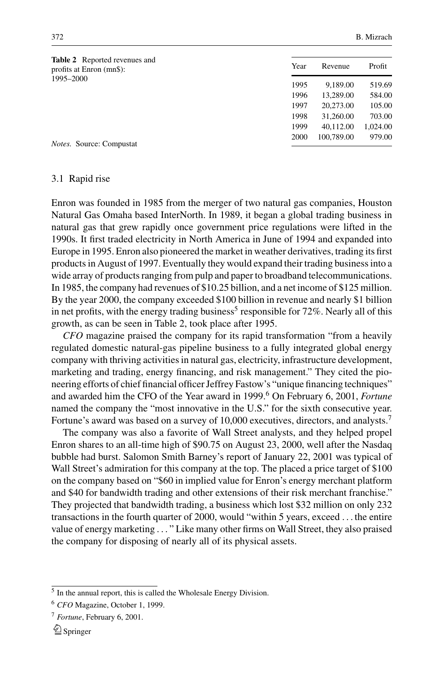| <b>Table 2</b> Reported revenues and<br>profits at Enron (mn\$): | Year | Revenue    | Profit   |  |
|------------------------------------------------------------------|------|------------|----------|--|
| 1995-2000                                                        | 1995 | 9.189.00   | 519.69   |  |
|                                                                  | 1996 | 13,289.00  | 584.00   |  |
|                                                                  | 1997 | 20,273.00  | 105.00   |  |
|                                                                  | 1998 | 31,260.00  | 703.00   |  |
|                                                                  | 1999 | 40.112.00  | 1,024.00 |  |
| <i>Notes.</i> Source: Compustat                                  | 2000 | 100,789.00 | 979.00   |  |

#### 3.1 Rapid rise

Enron was founded in 1985 from the merger of two natural gas companies, Houston Natural Gas Omaha based InterNorth. In 1989, it began a global trading business in natural gas that grew rapidly once government price regulations were lifted in the 1990s. It first traded electricity in North America in June of 1994 and expanded into Europe in 1995. Enron also pioneered the market in weather derivatives, trading its first products in August of 1997. Eventually they would expand their trading business into a wide array of products ranging from pulp and paper to broadband telecommunications. In 1985, the company had revenues of \$10.25 billion, and a net income of \$125 million. By the year 2000, the company exceeded \$100 billion in revenue and nearly \$1 billion in net profits, with the energy trading business<sup>5</sup> responsible for  $72\%$ . Nearly all of this growth, as can be seen in Table 2, took place after 1995.

*CFO* magazine praised the company for its rapid transformation "from a heavily regulated domestic natural-gas pipeline business to a fully integrated global energy company with thriving activities in natural gas, electricity, infrastructure development, marketing and trading, energy financing, and risk management." They cited the pioneering efforts of chief financial officer Jeffrey Fastow's "unique financing techniques" and awarded him the CFO of the Year award in 1999.<sup>6</sup> On February 6, 2001, *Fortune* named the company the "most innovative in the U.S." for the sixth consecutive year. Fortune's award was based on a survey of 10,000 executives, directors, and analysts.<sup>7</sup>

The company was also a favorite of Wall Street analysts, and they helped propel Enron shares to an all-time high of \$90.75 on August 23, 2000, well after the Nasdaq bubble had burst. Salomon Smith Barney's report of January 22, 2001 was typical of Wall Street's admiration for this company at the top. The placed a price target of \$100 on the company based on "\$60 in implied value for Enron's energy merchant platform and \$40 for bandwidth trading and other extensions of their risk merchant franchise." They projected that bandwidth trading, a business which lost \$32 million on only 232 transactions in the fourth quarter of 2000, would "within 5 years, exceed . . . the entire value of energy marketing . . . " Like many other firms on Wall Street, they also praised the company for disposing of nearly all of its physical assets.

<sup>5</sup> In the annual report, this is called the Wholesale Energy Division.

<sup>6</sup> *CFO* Magazine, October 1, 1999.

<sup>7</sup> *Fortune*, February 6, 2001.

 $\mathcal{Q}_{\text{Springer}}$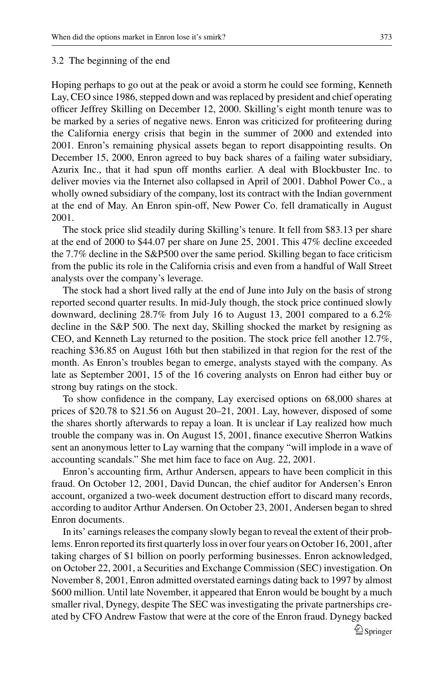## 3.2 The beginning of the end

Hoping perhaps to go out at the peak or avoid a storm he could see forming, Kenneth Lay, CEO since 1986, stepped down and was replaced by president and chief operating officer Jeffrey Skilling on December 12, 2000. Skilling's eight month tenure was to be marked by a series of negative news. Enron was criticized for profiteering during the California energy crisis that begin in the summer of 2000 and extended into 2001. Enron's remaining physical assets began to report disappointing results. On December 15, 2000, Enron agreed to buy back shares of a failing water subsidiary, Azurix Inc., that it had spun off months earlier. A deal with Blockbuster Inc. to deliver movies via the Internet also collapsed in April of 2001. Dabhol Power Co., a wholly owned subsidiary of the company, lost its contract with the Indian government at the end of May. An Enron spin-off, New Power Co. fell dramatically in August 2001.

The stock price slid steadily during Skilling's tenure. It fell from \$83.13 per share at the end of 2000 to \$44.07 per share on June 25, 2001. This 47% decline exceeded the 7.7% decline in the S&P500 over the same period. Skilling began to face criticism from the public its role in the California crisis and even from a handful of Wall Street analysts over the company's leverage.

The stock had a short lived rally at the end of June into July on the basis of strong reported second quarter results. In mid-July though, the stock price continued slowly downward, declining 28.7% from July 16 to August 13, 2001 compared to a 6.2% decline in the S&P 500. The next day, Skilling shocked the market by resigning as CEO, and Kenneth Lay returned to the position. The stock price fell another 12.7%, reaching \$36.85 on August 16th but then stabilized in that region for the rest of the month. As Enron's troubles began to emerge, analysts stayed with the company. As late as September 2001, 15 of the 16 covering analysts on Enron had either buy or strong buy ratings on the stock.

To show confidence in the company, Lay exercised options on 68,000 shares at prices of \$20.78 to \$21.56 on August 20–21, 2001. Lay, however, disposed of some the shares shortly afterwards to repay a loan. It is unclear if Lay realized how much trouble the company was in. On August 15, 2001, finance executive Sherron Watkins sent an anonymous letter to Lay warning that the company "will implode in a wave of accounting scandals." She met him face to face on Aug. 22, 2001.

Enron's accounting firm, Arthur Andersen, appears to have been complicit in this fraud. On October 12, 2001, David Duncan, the chief auditor for Andersen's Enron account, organized a two-week document destruction effort to discard many records, according to auditor Arthur Andersen. On October 23, 2001, Andersen began to shred Enron documents.

In its' earnings releases the company slowly began to reveal the extent of their problems. Enron reported its first quarterly loss in over four years on October 16, 2001, after taking charges of \$1 billion on poorly performing businesses. Enron acknowledged, on October 22, 2001, a Securities and Exchange Commission (SEC) investigation. On November 8, 2001, Enron admitted overstated earnings dating back to 1997 by almost \$600 million. Until late November, it appeared that Enron would be bought by a much smaller rival, Dynegy, despite The SEC was investigating the private partnerships created by CFO Andrew Fastow that were at the core of the Enron fraud. Dynegy backed  $\mathcal{D}$  Springer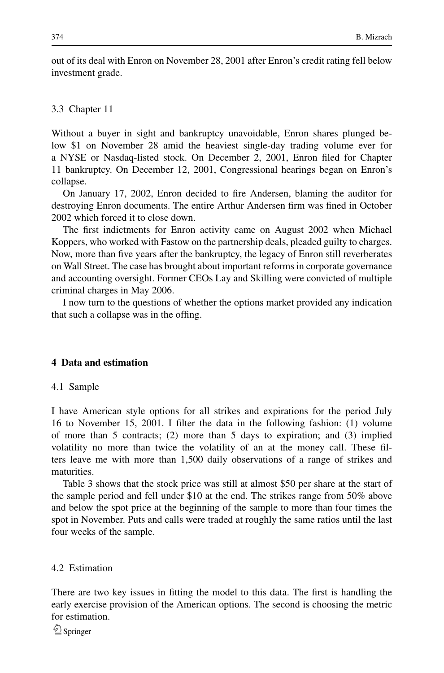out of its deal with Enron on November 28, 2001 after Enron's credit rating fell below investment grade.

#### 3.3 Chapter 11

Without a buyer in sight and bankruptcy unavoidable, Enron shares plunged below \$1 on November 28 amid the heaviest single-day trading volume ever for a NYSE or Nasdaq-listed stock. On December 2, 2001, Enron filed for Chapter 11 bankruptcy. On December 12, 2001, Congressional hearings began on Enron's collapse.

On January 17, 2002, Enron decided to fire Andersen, blaming the auditor for destroying Enron documents. The entire Arthur Andersen firm was fined in October 2002 which forced it to close down.

The first indictments for Enron activity came on August 2002 when Michael Koppers, who worked with Fastow on the partnership deals, pleaded guilty to charges. Now, more than five years after the bankruptcy, the legacy of Enron still reverberates on Wall Street. The case has brought about important reforms in corporate governance and accounting oversight. Former CEOs Lay and Skilling were convicted of multiple criminal charges in May 2006.

I now turn to the questions of whether the options market provided any indication that such a collapse was in the offing.

## **4 Data and estimation**

#### 4.1 Sample

I have American style options for all strikes and expirations for the period July 16 to November 15, 2001. I filter the data in the following fashion: (1) volume of more than 5 contracts; (2) more than 5 days to expiration; and (3) implied volatility no more than twice the volatility of an at the money call. These filters leave me with more than 1,500 daily observations of a range of strikes and maturities.

Table 3 shows that the stock price was still at almost \$50 per share at the start of the sample period and fell under \$10 at the end. The strikes range from 50% above and below the spot price at the beginning of the sample to more than four times the spot in November. Puts and calls were traded at roughly the same ratios until the last four weeks of the sample.

## 4.2 Estimation

There are two key issues in fitting the model to this data. The first is handling the early exercise provision of the American options. The second is choosing the metric for estimation.

 $\mathcal{Q}_{\text{Springer}}$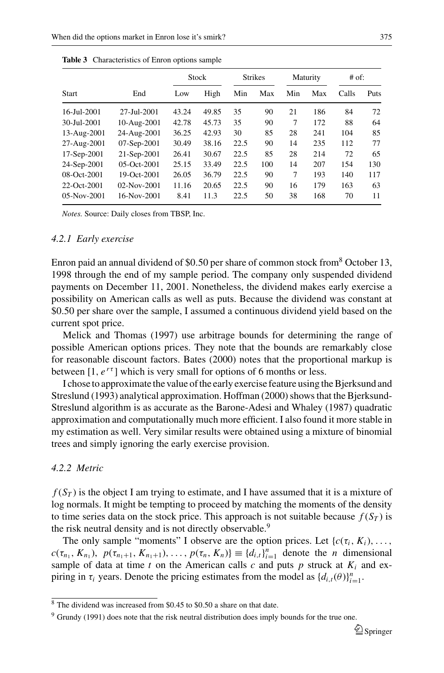|                    |                    |       | <b>Stock</b><br><b>Strikes</b> |      |     |     | Maturity | $#$ of: |      |
|--------------------|--------------------|-------|--------------------------------|------|-----|-----|----------|---------|------|
| <b>Start</b>       | End                | Low   | High                           | Min  | Max | Min | Max      | Calls   | Puts |
| 16-Jul-2001        | 27-Jul-2001        | 43.24 | 49.85                          | 35   | 90  | 21  | 186      | 84      | 72   |
| 30-Jul-2001        | 10-Aug-2001        | 42.78 | 45.73                          | 35   | 90  | 7   | 172      | 88      | 64   |
| 13-Aug-2001        | 24-Aug-2001        | 36.25 | 42.93                          | 30   | 85  | 28  | 241      | 104     | 85   |
| 27-Aug-2001        | 07-Sep-2001        | 30.49 | 38.16                          | 22.5 | 90  | 14  | 235      | 112     | 77   |
| 17-Sep-2001        | 21-Sep-2001        | 26.41 | 30.67                          | 22.5 | 85  | 28  | 214      | 72      | 65   |
| 24-Sep-2001        | $0.5 - Oct - 2001$ | 25.15 | 33.49                          | 22.5 | 100 | 14  | 207      | 154     | 130  |
| 08-Oct-2001        | $19-Oct-2001$      | 26.05 | 36.79                          | 22.5 | 90  | 7   | 193      | 140     | 117  |
| 22-Oct-2001        | $02-Nov-2001$      | 11.16 | 20.65                          | 22.5 | 90  | 16  | 179      | 163     | 63   |
| $0.5 - Nov - 2001$ | 16-Nov-2001        | 8.41  | 11.3                           | 22.5 | 50  | 38  | 168      | 70      | 11   |

**Table 3** Characteristics of Enron options sample

*Notes.* Source: Daily closes from TBSP, Inc.

#### *4.2.1 Early exercise*

Enron paid an annual dividend of \$0.50 per share of common stock from<sup>8</sup> October 13, 1998 through the end of my sample period. The company only suspended dividend payments on December 11, 2001. Nonetheless, the dividend makes early exercise a possibility on American calls as well as puts. Because the dividend was constant at \$0.50 per share over the sample, I assumed a continuous dividend yield based on the current spot price.

Melick and Thomas (1997) use arbitrage bounds for determining the range of possible American options prices. They note that the bounds are remarkably close for reasonable discount factors. Bates (2000) notes that the proportional markup is between  $[1, e^{r\tau}]$  which is very small for options of 6 months or less.

I chose to approximate the value of the early exercise feature using the Bjerksund and Streslund (1993) analytical approximation. Hoffman (2000) shows that the Bjerksund-Streslund algorithm is as accurate as the Barone-Adesi and Whaley (1987) quadratic approximation and computationally much more efficient. I also found it more stable in my estimation as well. Very similar results were obtained using a mixture of binomial trees and simply ignoring the early exercise provision.

## *4.2.2 Metric*

 $f(S_T)$  is the object I am trying to estimate, and I have assumed that it is a mixture of log normals. It might be tempting to proceed by matching the moments of the density to time series data on the stock price. This approach is not suitable because  $f(S_T)$  is the risk neutral density and is not directly observable.<sup>9</sup>

The only sample "moments" I observe are the option prices. Let  $\{c(\tau_i, K_i), \ldots, c\}$  $c(\tau_{n_1}, K_{n_1}), p(\tau_{n_1+1}, K_{n_1+1}), \ldots, p(\tau_n, K_n) \equiv \{d_{i,t}\}_{i=1}^n$  denote the *n* dimensional sample of data at time  $t$  on the American calls  $c$  and puts  $p$  struck at  $K_i$  and expiring in  $\tau_i$  years. Denote the pricing estimates from the model as  $\{d_{i,t}(\theta)\}_{i=1}^n$ .

<sup>8</sup> The dividend was increased from \$0.45 to \$0.50 a share on that date.

<sup>&</sup>lt;sup>9</sup> Grundy (1991) does note that the risk neutral distribution does imply bounds for the true one.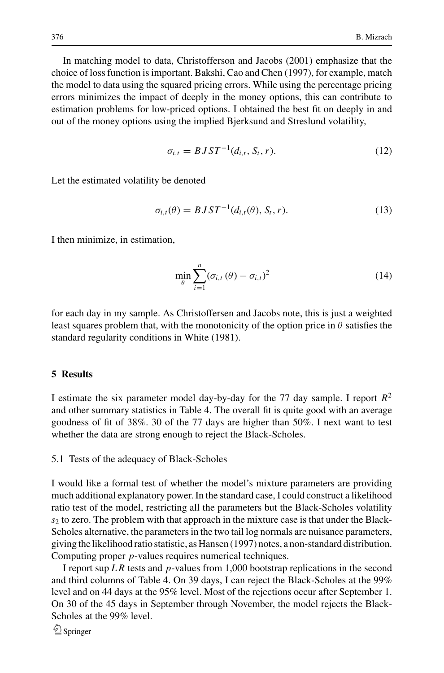In matching model to data, Christofferson and Jacobs (2001) emphasize that the choice of loss function is important. Bakshi, Cao and Chen (1997), for example, match the model to data using the squared pricing errors. While using the percentage pricing errors minimizes the impact of deeply in the money options, this can contribute to estimation problems for low-priced options. I obtained the best fit on deeply in and out of the money options using the implied Bjerksund and Streslund volatility,

$$
\sigma_{i,t} = BJST^{-1}(d_{i,t}, S_t, r). \tag{12}
$$

Let the estimated volatility be denoted

$$
\sigma_{i,t}(\theta) = BJST^{-1}(d_{i,t}(\theta), S_t, r). \tag{13}
$$

I then minimize, in estimation,

$$
\min_{\theta} \sum_{i=1}^{n} (\sigma_{i,t}(\theta) - \sigma_{i,t})^2
$$
\n(14)

for each day in my sample. As Christoffersen and Jacobs note, this is just a weighted least squares problem that, with the monotonicity of the option price in  $\theta$  satisfies the standard regularity conditions in White (1981).

## **5 Results**

I estimate the six parameter model day-by-day for the 77 day sample. I report *R*<sup>2</sup> and other summary statistics in Table 4. The overall fit is quite good with an average goodness of fit of 38%. 30 of the 77 days are higher than 50%. I next want to test whether the data are strong enough to reject the Black-Scholes.

#### 5.1 Tests of the adequacy of Black-Scholes

I would like a formal test of whether the model's mixture parameters are providing much additional explanatory power. In the standard case, I could construct a likelihood ratio test of the model, restricting all the parameters but the Black-Scholes volatility *s*<sup>2</sup> to zero. The problem with that approach in the mixture case is that under the Black-Scholes alternative, the parameters in the two tail log normals are nuisance parameters, giving the likelihood ratio statistic, as Hansen (1997) notes, a non-standard distribution. Computing proper *p*-values requires numerical techniques.

I report sup *L R* tests and *p*-values from 1,000 bootstrap replications in the second and third columns of Table 4. On 39 days, I can reject the Black-Scholes at the 99% level and on 44 days at the 95% level. Most of the rejections occur after September 1. On 30 of the 45 days in September through November, the model rejects the Black-Scholes at the 99% level.

 $\bigcirc$  Springer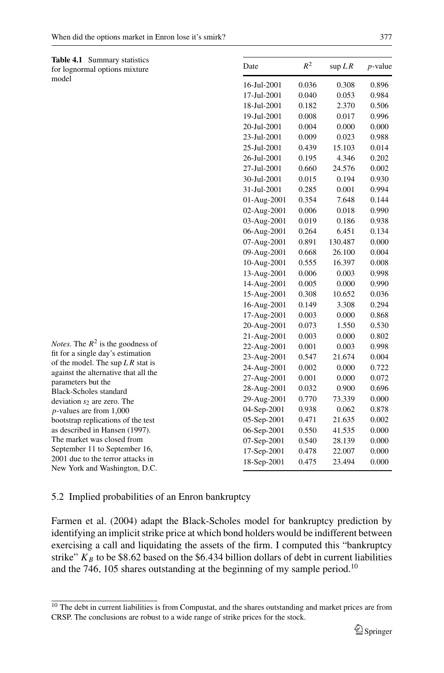|       | <b>Table 4.1</b> Summary statistics |
|-------|-------------------------------------|
|       | for lognormal options mixture       |
| model |                                     |

*Notes.* The *R*<sup>2</sup> is the goodness of fit for a single day's estimation of the model. The sup *L R* stat is against the alternative that all the

parameters but the Black-Scholes standard deviation  $s_2$  are zero. The *p*-values are from 1,000 bootstrap replications of the test as described in Hansen (1997). The market was closed from September 11 to September 16, 2001 due to the terror attacks in New York and Washington, D.C.

| Date        | $R^2$ | $\sup LR$ | $p$ -value |
|-------------|-------|-----------|------------|
| 16-Jul-2001 | 0.036 | 0.308     | 0.896      |
| 17-Jul-2001 | 0.040 | 0.053     | 0.984      |
| 18-Jul-2001 | 0.182 | 2.370     | 0.506      |
| 19-Jul-2001 | 0.008 | 0.017     | 0.996      |
| 20-Jul-2001 | 0.004 | 0.000     | 0.000      |
| 23-Jul-2001 | 0.009 | 0.023     | 0.988      |
| 25-Jul-2001 | 0.439 | 15.103    | 0.014      |
| 26-Jul-2001 | 0.195 | 4.346     | 0.202      |
| 27-Jul-2001 | 0.660 | 24.576    | 0.002      |
| 30-Jul-2001 | 0.015 | 0.194     | 0.930      |
| 31-Jul-2001 | 0.285 | 0.001     | 0.994      |
| 01-Aug-2001 | 0.354 | 7.648     | 0.144      |
| 02-Aug-2001 | 0.006 | 0.018     | 0.990      |
| 03-Aug-2001 | 0.019 | 0.186     | 0.938      |
| 06-Aug-2001 | 0.264 | 6.451     | 0.134      |
| 07-Aug-2001 | 0.891 | 130.487   | 0.000      |
| 09-Aug-2001 | 0.668 | 26.100    | 0.004      |
| 10-Aug-2001 | 0.555 | 16.397    | 0.008      |
| 13-Aug-2001 | 0.006 | 0.003     | 0.998      |
| 14-Aug-2001 | 0.005 | 0.000     | 0.990      |
| 15-Aug-2001 | 0.308 | 10.652    | 0.036      |
| 16-Aug-2001 | 0.149 | 3.308     | 0.294      |
| 17-Aug-2001 | 0.003 | 0.000     | 0.868      |
| 20-Aug-2001 | 0.073 | 1.550     | 0.530      |
| 21-Aug-2001 | 0.003 | 0.000     | 0.802      |
| 22-Aug-2001 | 0.001 | 0.003     | 0.998      |
| 23-Aug-2001 | 0.547 | 21.674    | 0.004      |
| 24-Aug-2001 | 0.002 | 0.000     | 0.722      |
| 27-Aug-2001 | 0.001 | 0.000     | 0.072      |
| 28-Aug-2001 | 0.032 | 0.900     | 0.696      |
| 29-Aug-2001 | 0.770 | 73.339    | 0.000      |
| 04-Sep-2001 | 0.938 | 0.062     | 0.878      |
| 05-Sep-2001 | 0.471 | 21.635    | 0.002      |
| 06-Sep-2001 | 0.550 | 41.535    | 0.000      |
| 07-Sep-2001 | 0.540 | 28.139    | 0.000      |
| 17-Sep-2001 | 0.478 | 22.007    | 0.000      |
| 18-Sep-2001 | 0.475 | 23.494    | 0.000      |

# 5.2 Implied probabilities of an Enron bankruptcy

Farmen et al. (2004) adapt the Black-Scholes model for bankruptcy prediction by identifying an implicit strike price at which bond holders would be indifferent between exercising a call and liquidating the assets of the firm. I computed this "bankruptcy strike"  $K_B$  to be \$8.62 based on the \$6.434 billion dollars of debt in current liabilities and the 746, 105 shares outstanding at the beginning of my sample period.<sup>10</sup>

<sup>&</sup>lt;sup>10</sup> The debt in current liabilities is from Compustat, and the shares outstanding and market prices are from CRSP. The conclusions are robust to a wide range of strike prices for the stock.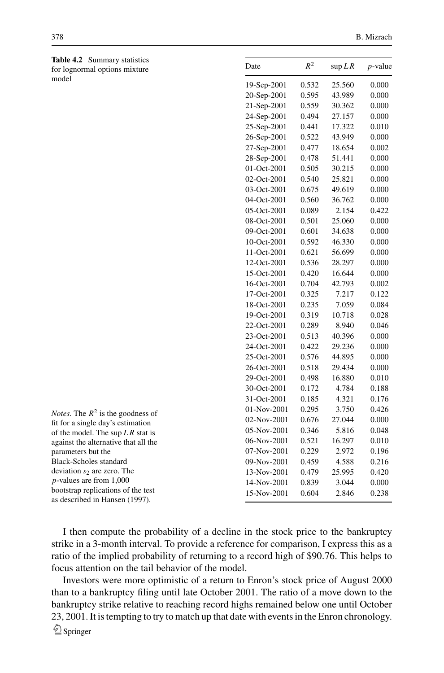**Table 4.2** Summary statistics for lognormal options mixture model

| Date          | $R^2$ | $\sup LR$ | <i>p</i> -value |
|---------------|-------|-----------|-----------------|
| 19-Sep-2001   | 0.532 | 25.560    | 0.000           |
| 20-Sep-2001   | 0.595 | 43.989    | 0.000           |
| 21-Sep-2001   | 0.559 | 30.362    | 0.000           |
| 24-Sep-2001   | 0.494 | 27.157    | 0.000           |
| 25-Sep-2001   | 0.441 | 17.322    | 0.010           |
| 26-Sep-2001   | 0.522 | 43.949    | 0.000           |
| 27-Sep-2001   | 0.477 | 18.654    | 0.002           |
| 28-Sep-2001   | 0.478 | 51.441    | 0.000           |
| 01-Oct-2001   | 0.505 | 30.215    | 0.000           |
| 02-Oct-2001   | 0.540 | 25.821    | 0.000           |
| 03-Oct-2001   | 0.675 | 49.619    | 0.000           |
| 04-Oct-2001   | 0.560 | 36.762    | 0.000           |
| 05-Oct-2001   | 0.089 | 2.154     | 0.422           |
| 08-Oct-2001   | 0.501 | 25.060    | 0.000           |
| 09-Oct-2001   | 0.601 | 34.638    | 0.000           |
| $10-Oct-2001$ | 0.592 | 46.330    | 0.000           |
| 11-Oct-2001   | 0.621 | 56.699    | 0.000           |
| 12-Oct-2001   | 0.536 | 28.297    | 0.000           |
| 15-Oct-2001   | 0.420 | 16.644    | 0.000           |
| 16-Oct-2001   | 0.704 | 42.793    | 0.002           |
| 17-Oct-2001   | 0.325 | 7.217     | 0.122           |
| 18-Oct-2001   | 0.235 | 7.059     | 0.084           |
| 19-Oct-2001   | 0.319 | 10.718    | 0.028           |
| 22-Oct-2001   | 0.289 | 8.940     | 0.046           |
| 23-Oct-2001   | 0.513 | 40.396    | 0.000           |
| 24-Oct-2001   | 0.422 | 29.236    | 0.000           |
| 25-Oct-2001   | 0.576 | 44.895    | 0.000           |
| 26-Oct-2001   | 0.518 | 29.434    | 0.000           |
| 29-Oct-2001   | 0.498 | 16.880    | 0.010           |
| 30-Oct-2001   | 0.172 | 4.784     | 0.188           |
| 31-Oct-2001   | 0.185 | 4.321     | 0.176           |
| 01-Nov-2001   | 0.295 | 3.750     | 0.426           |
| 02-Nov-2001   | 0.676 | 27.044    | 0.000           |
| 05-Nov-2001   | 0.346 | 5.816     | 0.048           |
| 06-Nov-2001   | 0.521 | 16.297    | 0.010           |
| 07-Nov-2001   | 0.229 | 2.972     | 0.196           |
| 09-Nov-2001   | 0.459 | 4.588     | 0.216           |
| 13-Nov-2001   | 0.479 | 25.995    | 0.420           |
| 14-Nov-2001   | 0.839 | 3.044     | 0.000           |
| 15-Nov-2001   | 0.604 | 2.846     | 0.238           |
|               |       |           |                 |

*Notes.* The  $R^2$  is the goodness of fit for a single day's estimation of the model. The sup *L R* stat is against the alternative that all the parameters but the Black-Scholes standard deviation  $s<sub>2</sub>$  are zero. The *p*-values are from 1,000 bootstrap replications of the test as described in Hansen (1997).

I then compute the probability of a decline in the stock price to the bankruptcy strike in a 3-month interval. To provide a reference for comparison, I express this as a ratio of the implied probability of returning to a record high of \$90.76. This helps to focus attention on the tail behavior of the model.

Investors were more optimistic of a return to Enron's stock price of August 2000 than to a bankruptcy filing until late October 2001. The ratio of a move down to the bankruptcy strike relative to reaching record highs remained below one until October 23, 2001. It is tempting to try to match up that date with events in the Enron chronology.  $\hat{\mathfrak{D}}$  Springer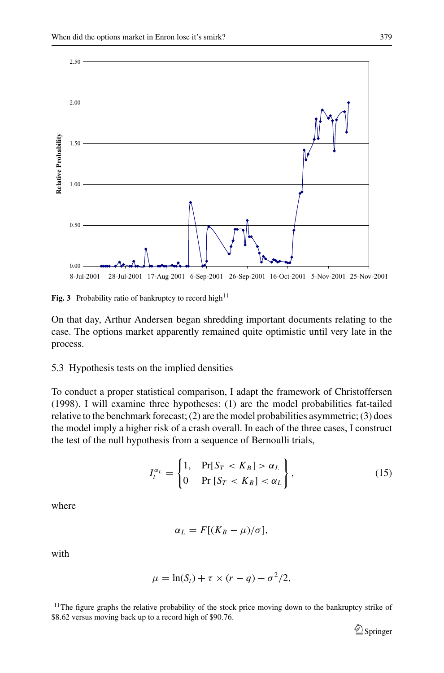

**Fig. 3** Probability ratio of bankruptcy to record high<sup>11</sup>

On that day, Arthur Andersen began shredding important documents relating to the case. The options market apparently remained quite optimistic until very late in the process.

#### 5.3 Hypothesis tests on the implied densities

To conduct a proper statistical comparison, I adapt the framework of Christoffersen (1998). I will examine three hypotheses: (1) are the model probabilities fat-tailed relative to the benchmark forecast; (2) are the model probabilities asymmetric; (3) does the model imply a higher risk of a crash overall. In each of the three cases, I construct the test of the null hypothesis from a sequence of Bernoulli trials,

$$
I_t^{\alpha_L} = \begin{cases} 1, & \Pr[S_T < K_B] > \alpha_L \\ 0 & \Pr\left[S_T < K_B\right] < \alpha_L \end{cases},\tag{15}
$$

where

$$
\alpha_L = F[(K_B - \mu)/\sigma],
$$

with

$$
\mu = \ln(S_t) + \tau \times (r - q) - \sigma^2/2,
$$

<sup>&</sup>lt;sup>11</sup>The figure graphs the relative probability of the stock price moving down to the bankruptcy strike of \$8.62 versus moving back up to a record high of \$90.76.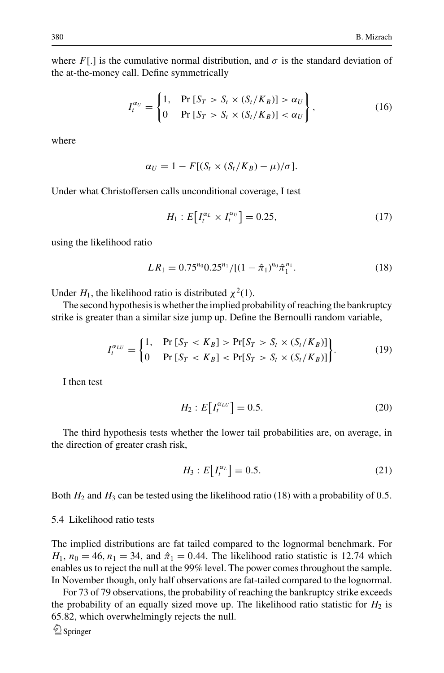where  $F$ [.] is the cumulative normal distribution, and  $\sigma$  is the standard deviation of the at-the-money call. Define symmetrically

$$
I_t^{\alpha_U} = \begin{cases} 1, & \text{Pr}\left[S_T > S_t \times (S_t/K_B)\right] > \alpha_U \\ 0 & \text{Pr}\left[S_T > S_t \times (S_t/K_B)\right] < \alpha_U \end{cases},\tag{16}
$$

where

$$
\alpha_U = 1 - F[(S_t \times (S_t/K_B) - \mu)/\sigma].
$$

Under what Christoffersen calls unconditional coverage, I test

$$
H_1: E\big[I_t^{\alpha_L} \times I_t^{\alpha_U}\big] = 0.25,\tag{17}
$$

using the likelihood ratio

$$
LR_1 = 0.75^{n_0} 0.25^{n_1} / [(1 - \hat{\pi}_1)^{n_0} \hat{\pi}_1^{n_1}.
$$
 (18)

Under  $H_1$ , the likelihood ratio is distributed  $\chi^2(1)$ .

The second hypothesis is whether the implied probability of reaching the bankruptcy strike is greater than a similar size jump up. Define the Bernoulli random variable,

$$
I_t^{\alpha_{LU}} = \begin{cases} 1, & \text{Pr}\left[S_T < K_B\right] > \text{Pr}[S_T > S_t \times (S_t/K_B)] \\ 0 & \text{Pr}\left[S_T < K_B\right] < \text{Pr}[S_T > S_t \times (S_t/K_B)] \end{cases} \tag{19}
$$

I then test

$$
H_2: E\big[I_t^{\alpha_{LU}}\big] = 0.5. \tag{20}
$$

The third hypothesis tests whether the lower tail probabilities are, on average, in the direction of greater crash risk,

$$
H_3: E\big[I_t^{\alpha_L}\big] = 0.5. \tag{21}
$$

Both  $H_2$  and  $H_3$  can be tested using the likelihood ratio (18) with a probability of 0.5.

#### 5.4 Likelihood ratio tests

The implied distributions are fat tailed compared to the lognormal benchmark. For  $H_1$ ,  $n_0 = 46$ ,  $n_1 = 34$ , and  $\hat{\pi}_1 = 0.44$ . The likelihood ratio statistic is 12.74 which enables us to reject the null at the 99% level. The power comes throughout the sample. In November though, only half observations are fat-tailed compared to the lognormal.

For 73 of 79 observations, the probability of reaching the bankruptcy strike exceeds the probability of an equally sized move up. The likelihood ratio statistic for  $H_2$  is 65.82, which overwhelmingly rejects the null.

 $\bigcirc$  Springer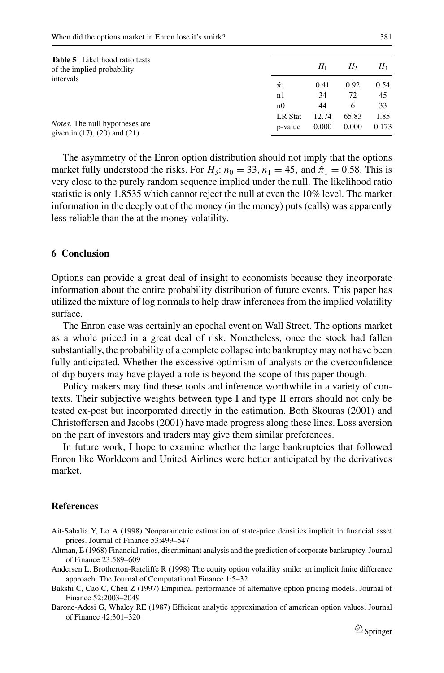| <b>Table 5</b> Likelihood ratio tests<br>of the implied probability<br>intervals | H<br>$H_3$<br>$H_1$ |       |       |       |  |
|----------------------------------------------------------------------------------|---------------------|-------|-------|-------|--|
|                                                                                  | $\hat{\pi}_1$       | 0.41  | 0.92  | 0.54  |  |
|                                                                                  | n1                  | 34    | 72    | 45    |  |
|                                                                                  | n0                  | 44    | 6     | 33    |  |
|                                                                                  | <b>LR</b> Stat      | 12.74 | 65.83 | 1.85  |  |
| <i>Notes.</i> The null hypotheses are<br>given in $(17)$ , $(20)$ and $(21)$ .   | p-value             | 0.000 | 0.000 | 0.173 |  |

The asymmetry of the Enron option distribution should not imply that the options market fully understood the risks. For  $H_3$ :  $n_0 = 33$ ,  $n_1 = 45$ , and  $\hat{\pi}_1 = 0.58$ . This is very close to the purely random sequence implied under the null. The likelihood ratio statistic is only 1.8535 which cannot reject the null at even the 10% level. The market information in the deeply out of the money (in the money) puts (calls) was apparently less reliable than the at the money volatility.

## **6 Conclusion**

Options can provide a great deal of insight to economists because they incorporate information about the entire probability distribution of future events. This paper has utilized the mixture of log normals to help draw inferences from the implied volatility surface.

The Enron case was certainly an epochal event on Wall Street. The options market as a whole priced in a great deal of risk. Nonetheless, once the stock had fallen substantially, the probability of a complete collapse into bankruptcy may not have been fully anticipated. Whether the excessive optimism of analysts or the overconfidence of dip buyers may have played a role is beyond the scope of this paper though.

Policy makers may find these tools and inference worthwhile in a variety of contexts. Their subjective weights between type I and type II errors should not only be tested ex-post but incorporated directly in the estimation. Both Skouras (2001) and Christoffersen and Jacobs (2001) have made progress along these lines. Loss aversion on the part of investors and traders may give them similar preferences.

In future work, I hope to examine whether the large bankruptcies that followed Enron like Worldcom and United Airlines were better anticipated by the derivatives market.

## **References**

- Ait-Sahalia Y, Lo A (1998) Nonparametric estimation of state-price densities implicit in financial asset prices. Journal of Finance 53:499–547
- Altman, E (1968) Financial ratios, discriminant analysis and the prediction of corporate bankruptcy. Journal of Finance 23:589–609
- Andersen L, Brotherton-Ratcliffe R (1998) The equity option volatility smile: an implicit finite difference approach. The Journal of Computational Finance 1:5–32
- Bakshi C, Cao C, Chen Z (1997) Empirical performance of alternative option pricing models. Journal of Finance 52:2003–2049
- Barone-Adesi G, Whaley RE (1987) Efficient analytic approximation of american option values. Journal of Finance 42:301–320